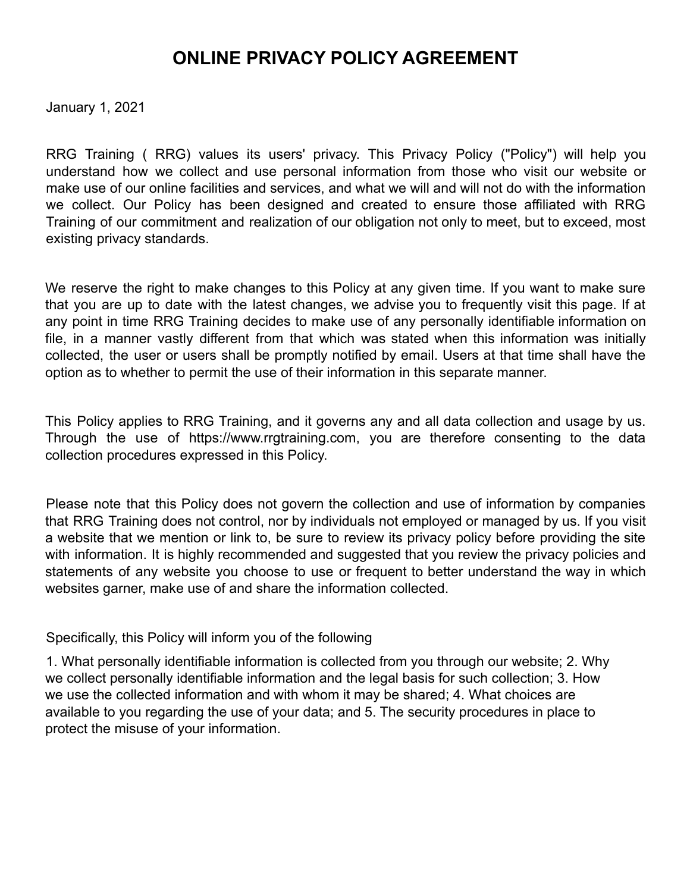# **ONLINE PRIVACY POLICY AGREEMENT**

January 1, 2021

RRG Training ( RRG) values its users' privacy. This Privacy Policy ("Policy") will help you understand how we collect and use personal information from those who visit our website or make use of our online facilities and services, and what we will and will not do with the information we collect. Our Policy has been designed and created to ensure those affiliated with RRG Training of our commitment and realization of our obligation not only to meet, but to exceed, most existing privacy standards.

We reserve the right to make changes to this Policy at any given time. If you want to make sure that you are up to date with the latest changes, we advise you to frequently visit this page. If at any point in time RRG Training decides to make use of any personally identifiable information on file, in a manner vastly different from that which was stated when this information was initially collected, the user or users shall be promptly notified by email. Users at that time shall have the option as to whether to permit the use of their information in this separate manner.

This Policy applies to RRG Training, and it governs any and all data collection and usage by us. Through the use of https://www.rrgtraining.com, you are therefore consenting to the data collection procedures expressed in this Policy.

Please note that this Policy does not govern the collection and use of information by companies that RRG Training does not control, nor by individuals not employed or managed by us. If you visit a website that we mention or link to, be sure to review its privacy policy before providing the site with information. It is highly recommended and suggested that you review the privacy policies and statements of any website you choose to use or frequent to better understand the way in which websites garner, make use of and share the information collected.

### Specifically, this Policy will inform you of the following

1. What personally identifiable information is collected from you through our website; 2. Why we collect personally identifiable information and the legal basis for such collection; 3. How we use the collected information and with whom it may be shared; 4. What choices are available to you regarding the use of your data; and 5. The security procedures in place to protect the misuse of your information.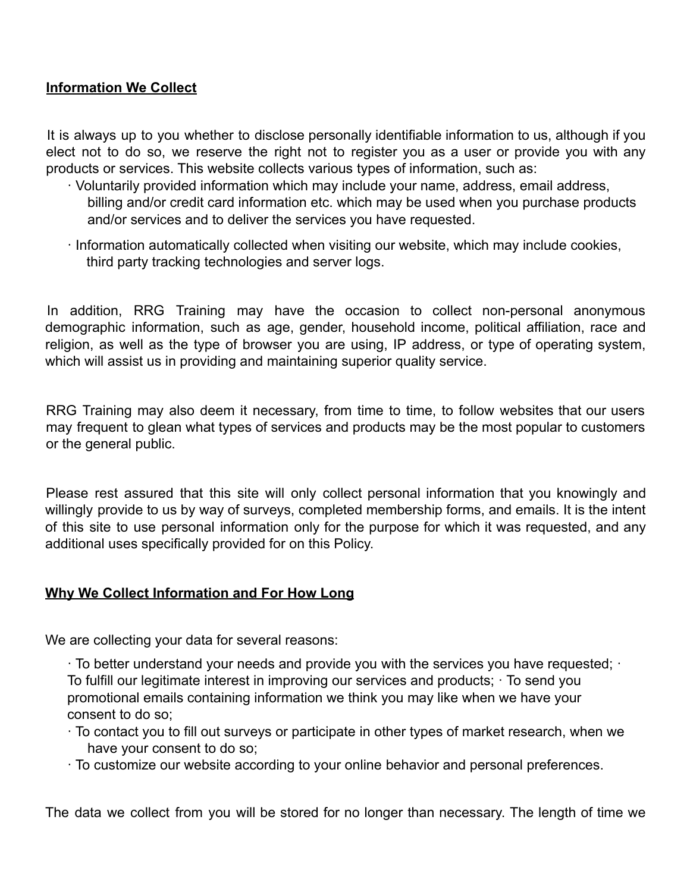# **Information We Collect**

It is always up to you whether to disclose personally identifiable information to us, although if you elect not to do so, we reserve the right not to register you as a user or provide you with any products or services. This website collects various types of information, such as:

- · Voluntarily provided information which may include your name, address, email address, billing and/or credit card information etc. which may be used when you purchase products and/or services and to deliver the services you have requested.
- · Information automatically collected when visiting our website, which may include cookies, third party tracking technologies and server logs.

In addition, RRG Training may have the occasion to collect non-personal anonymous demographic information, such as age, gender, household income, political affiliation, race and religion, as well as the type of browser you are using, IP address, or type of operating system, which will assist us in providing and maintaining superior quality service.

RRG Training may also deem it necessary, from time to time, to follow websites that our users may frequent to glean what types of services and products may be the most popular to customers or the general public.

Please rest assured that this site will only collect personal information that you knowingly and willingly provide to us by way of surveys, completed membership forms, and emails. It is the intent of this site to use personal information only for the purpose for which it was requested, and any additional uses specifically provided for on this Policy.

## **Why We Collect Information and For How Long**

We are collecting your data for several reasons:

 $\cdot$  To better understand your needs and provide you with the services you have requested;  $\cdot$ To fulfill our legitimate interest in improving our services and products; · To send you promotional emails containing information we think you may like when we have your consent to do so;

- · To contact you to fill out surveys or participate in other types of market research, when we have your consent to do so;
- · To customize our website according to your online behavior and personal preferences.

The data we collect from you will be stored for no longer than necessary. The length of time we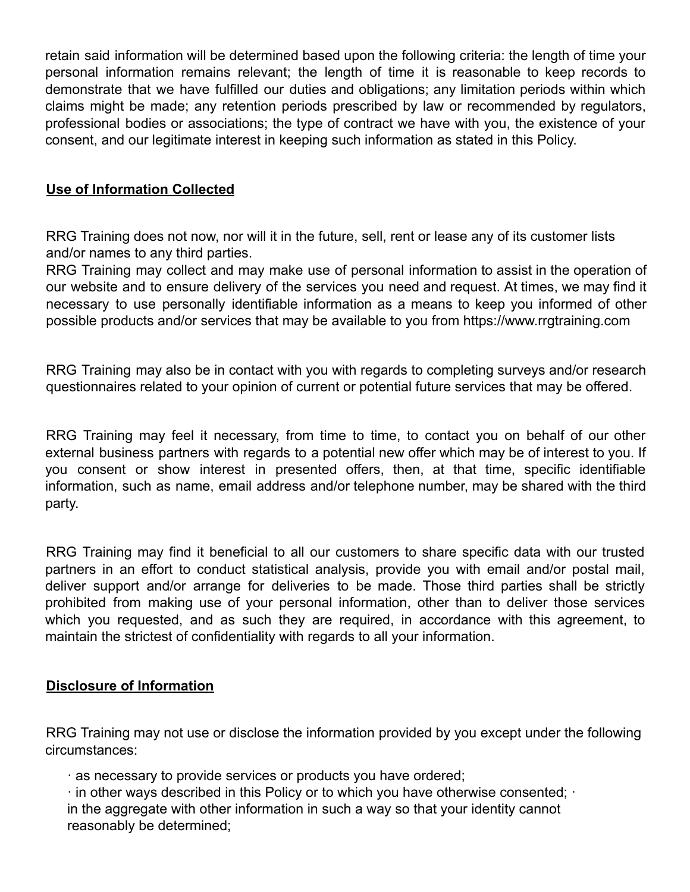retain said information will be determined based upon the following criteria: the length of time your personal information remains relevant; the length of time it is reasonable to keep records to demonstrate that we have fulfilled our duties and obligations; any limitation periods within which claims might be made; any retention periods prescribed by law or recommended by regulators, professional bodies or associations; the type of contract we have with you, the existence of your consent, and our legitimate interest in keeping such information as stated in this Policy.

## **Use of Information Collected**

RRG Training does not now, nor will it in the future, sell, rent or lease any of its customer lists and/or names to any third parties.

RRG Training may collect and may make use of personal information to assist in the operation of our website and to ensure delivery of the services you need and request. At times, we may find it necessary to use personally identifiable information as a means to keep you informed of other possible products and/or services that may be available to you from https://www.rrgtraining.com

RRG Training may also be in contact with you with regards to completing surveys and/or research questionnaires related to your opinion of current or potential future services that may be offered.

RRG Training may feel it necessary, from time to time, to contact you on behalf of our other external business partners with regards to a potential new offer which may be of interest to you. If you consent or show interest in presented offers, then, at that time, specific identifiable information, such as name, email address and/or telephone number, may be shared with the third party.

RRG Training may find it beneficial to all our customers to share specific data with our trusted partners in an effort to conduct statistical analysis, provide you with email and/or postal mail, deliver support and/or arrange for deliveries to be made. Those third parties shall be strictly prohibited from making use of your personal information, other than to deliver those services which you requested, and as such they are required, in accordance with this agreement, to maintain the strictest of confidentiality with regards to all your information.

## **Disclosure of Information**

RRG Training may not use or disclose the information provided by you except under the following circumstances:

· as necessary to provide services or products you have ordered;

· in other ways described in this Policy or to which you have otherwise consented; · in the aggregate with other information in such a way so that your identity cannot reasonably be determined;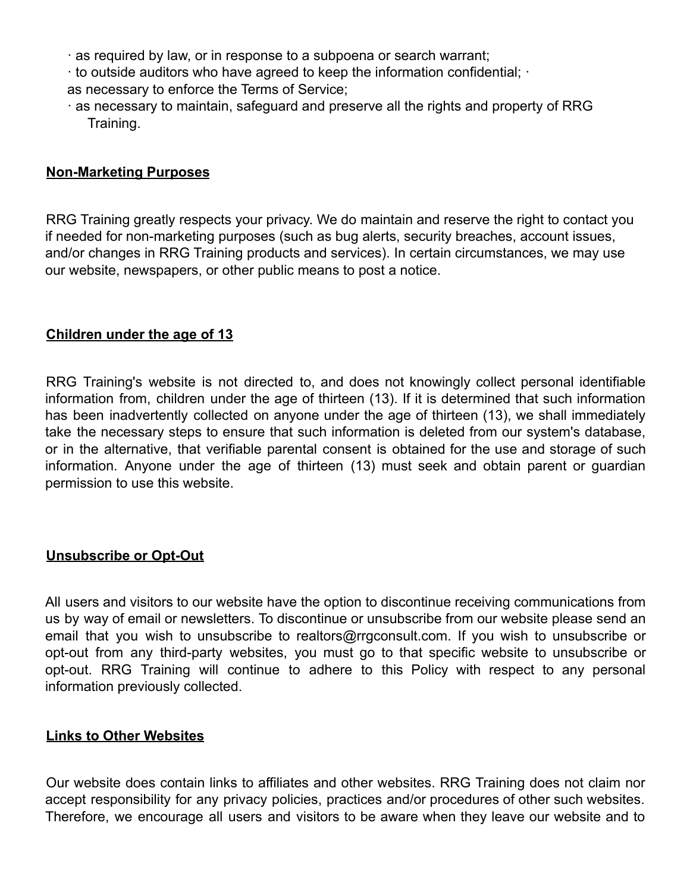- · as required by law, or in response to a subpoena or search warrant;
- · to outside auditors who have agreed to keep the information confidential; ·
- as necessary to enforce the Terms of Service;
- · as necessary to maintain, safeguard and preserve all the rights and property of RRG Training.

## **Non-Marketing Purposes**

RRG Training greatly respects your privacy. We do maintain and reserve the right to contact you if needed for non-marketing purposes (such as bug alerts, security breaches, account issues, and/or changes in RRG Training products and services). In certain circumstances, we may use our website, newspapers, or other public means to post a notice.

## **Children under the age of 13**

RRG Training's website is not directed to, and does not knowingly collect personal identifiable information from, children under the age of thirteen (13). If it is determined that such information has been inadvertently collected on anyone under the age of thirteen (13), we shall immediately take the necessary steps to ensure that such information is deleted from our system's database, or in the alternative, that verifiable parental consent is obtained for the use and storage of such information. Anyone under the age of thirteen (13) must seek and obtain parent or guardian permission to use this website.

## **Unsubscribe or Opt-Out**

All users and visitors to our website have the option to discontinue receiving communications from us by way of email or newsletters. To discontinue or unsubscribe from our website please send an email that you wish to unsubscribe to realtors@rrgconsult.com. If you wish to unsubscribe or opt-out from any third-party websites, you must go to that specific website to unsubscribe or opt-out. RRG Training will continue to adhere to this Policy with respect to any personal information previously collected.

### **Links to Other Websites**

Our website does contain links to affiliates and other websites. RRG Training does not claim nor accept responsibility for any privacy policies, practices and/or procedures of other such websites. Therefore, we encourage all users and visitors to be aware when they leave our website and to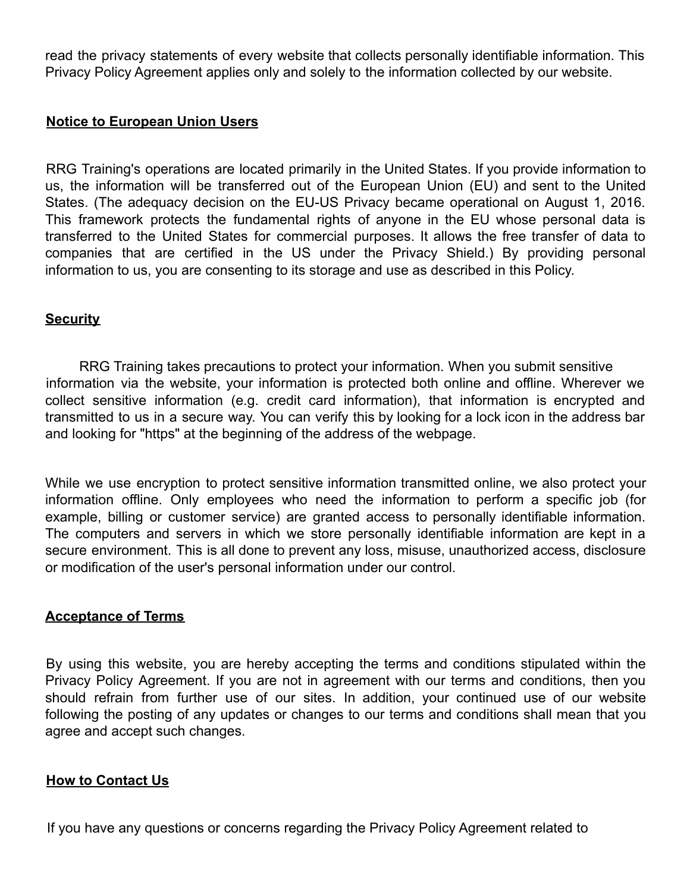read the privacy statements of every website that collects personally identifiable information. This Privacy Policy Agreement applies only and solely to the information collected by our website.

## **Notice to European Union Users**

RRG Training's operations are located primarily in the United States. If you provide information to us, the information will be transferred out of the European Union (EU) and sent to the United States. (The adequacy decision on the EU-US Privacy became operational on August 1, 2016. This framework protects the fundamental rights of anyone in the EU whose personal data is transferred to the United States for commercial purposes. It allows the free transfer of data to companies that are certified in the US under the Privacy Shield.) By providing personal information to us, you are consenting to its storage and use as described in this Policy.

### **Security**

RRG Training takes precautions to protect your information. When you submit sensitive information via the website, your information is protected both online and offline. Wherever we collect sensitive information (e.g. credit card information), that information is encrypted and transmitted to us in a secure way. You can verify this by looking for a lock icon in the address bar and looking for "https" at the beginning of the address of the webpage.

While we use encryption to protect sensitive information transmitted online, we also protect your information offline. Only employees who need the information to perform a specific job (for example, billing or customer service) are granted access to personally identifiable information. The computers and servers in which we store personally identifiable information are kept in a secure environment. This is all done to prevent any loss, misuse, unauthorized access, disclosure or modification of the user's personal information under our control.

### **Acceptance of Terms**

By using this website, you are hereby accepting the terms and conditions stipulated within the Privacy Policy Agreement. If you are not in agreement with our terms and conditions, then you should refrain from further use of our sites. In addition, your continued use of our website following the posting of any updates or changes to our terms and conditions shall mean that you agree and accept such changes.

## **How to Contact Us**

If you have any questions or concerns regarding the Privacy Policy Agreement related to